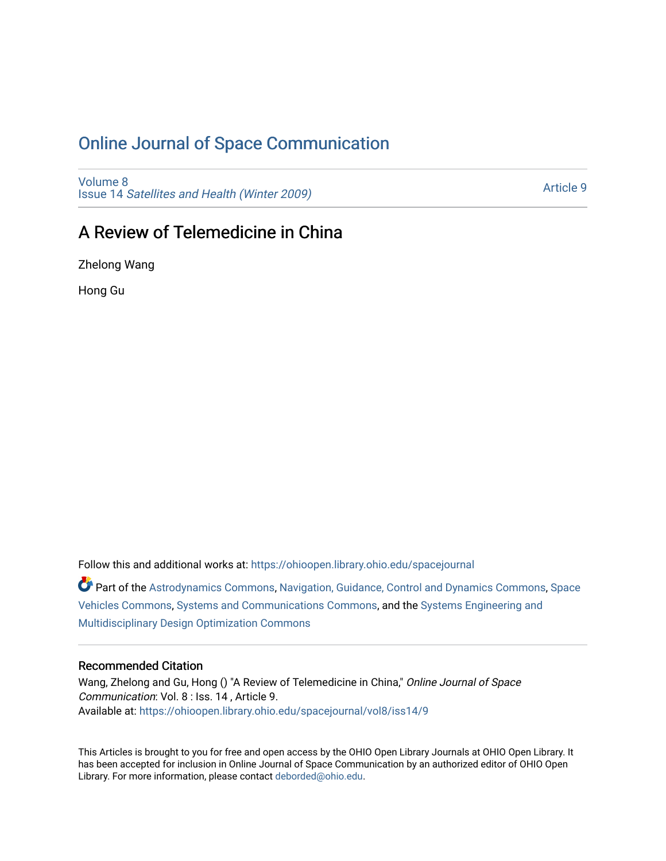## [Online Journal of Space Communication](https://ohioopen.library.ohio.edu/spacejournal)

[Volume 8](https://ohioopen.library.ohio.edu/spacejournal/vol8) Issue 14 [Satellites and Health \(Winter 2009\)](https://ohioopen.library.ohio.edu/spacejournal/vol8/iss14)

[Article 9](https://ohioopen.library.ohio.edu/spacejournal/vol8/iss14/9) 

# A Review of Telemedicine in China

Zhelong Wang

Hong Gu

Follow this and additional works at: [https://ohioopen.library.ohio.edu/spacejournal](https://ohioopen.library.ohio.edu/spacejournal?utm_source=ohioopen.library.ohio.edu%2Fspacejournal%2Fvol8%2Fiss14%2F9&utm_medium=PDF&utm_campaign=PDFCoverPages)

Part of the [Astrodynamics Commons,](http://network.bepress.com/hgg/discipline/223?utm_source=ohioopen.library.ohio.edu%2Fspacejournal%2Fvol8%2Fiss14%2F9&utm_medium=PDF&utm_campaign=PDFCoverPages) [Navigation, Guidance, Control and Dynamics Commons,](http://network.bepress.com/hgg/discipline/226?utm_source=ohioopen.library.ohio.edu%2Fspacejournal%2Fvol8%2Fiss14%2F9&utm_medium=PDF&utm_campaign=PDFCoverPages) [Space](http://network.bepress.com/hgg/discipline/220?utm_source=ohioopen.library.ohio.edu%2Fspacejournal%2Fvol8%2Fiss14%2F9&utm_medium=PDF&utm_campaign=PDFCoverPages)  [Vehicles Commons](http://network.bepress.com/hgg/discipline/220?utm_source=ohioopen.library.ohio.edu%2Fspacejournal%2Fvol8%2Fiss14%2F9&utm_medium=PDF&utm_campaign=PDFCoverPages), [Systems and Communications Commons,](http://network.bepress.com/hgg/discipline/276?utm_source=ohioopen.library.ohio.edu%2Fspacejournal%2Fvol8%2Fiss14%2F9&utm_medium=PDF&utm_campaign=PDFCoverPages) and the [Systems Engineering and](http://network.bepress.com/hgg/discipline/221?utm_source=ohioopen.library.ohio.edu%2Fspacejournal%2Fvol8%2Fiss14%2F9&utm_medium=PDF&utm_campaign=PDFCoverPages) [Multidisciplinary Design Optimization Commons](http://network.bepress.com/hgg/discipline/221?utm_source=ohioopen.library.ohio.edu%2Fspacejournal%2Fvol8%2Fiss14%2F9&utm_medium=PDF&utm_campaign=PDFCoverPages) 

#### Recommended Citation

Wang, Zhelong and Gu, Hong () "A Review of Telemedicine in China," Online Journal of Space Communication: Vol. 8 : Iss. 14 , Article 9. Available at: [https://ohioopen.library.ohio.edu/spacejournal/vol8/iss14/9](https://ohioopen.library.ohio.edu/spacejournal/vol8/iss14/9?utm_source=ohioopen.library.ohio.edu%2Fspacejournal%2Fvol8%2Fiss14%2F9&utm_medium=PDF&utm_campaign=PDFCoverPages)

This Articles is brought to you for free and open access by the OHIO Open Library Journals at OHIO Open Library. It has been accepted for inclusion in Online Journal of Space Communication by an authorized editor of OHIO Open Library. For more information, please contact [deborded@ohio.edu.](mailto:deborded@ohio.edu)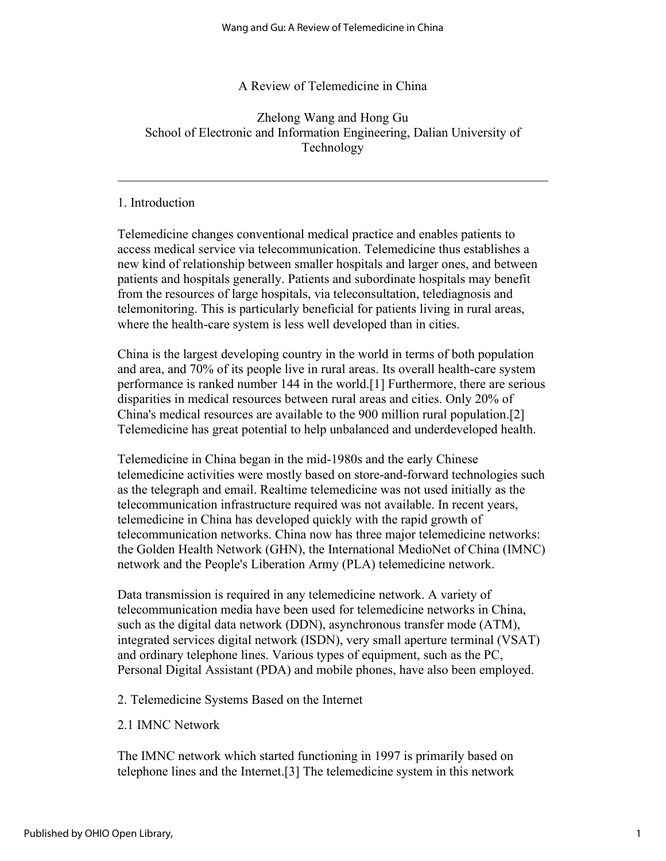## A Review of Telemedicine in China

## Zhelong Wang and Hong Gu School of Electronic and Information Engineering, Dalian University of Technology

#### 1. Introduction

Telemedicine changes conventional medical practice and enables patients to access medical service via telecommunication. Telemedicine thus establishes a new kind of relationship between smaller hospitals and larger ones, and between patients and hospitals generally. Patients and subordinate hospitals may benefit from the resources of large hospitals, via teleconsultation, telediagnosis and telemonitoring. This is particularly beneficial for patients living in rural areas, where the health-care system is less well developed than in cities.

China is the largest developing country in the world in terms of both population and area, and 70% of its people live in rural areas. Its overall health-care system performance is ranked number 144 in the world.[1] Furthermore, there are serious disparities in medical resources between rural areas and cities. Only 20% of China's medical resources are available to the 900 million rural population.[2] Telemedicine has great potential to help unbalanced and underdeveloped health.

Telemedicine in China began in the mid-1980s and the early Chinese telemedicine activities were mostly based on store-and-forward technologies such as the telegraph and email. Realtime telemedicine was not used initially as the telecommunication infrastructure required was not available. In recent years, telemedicine in China has developed quickly with the rapid growth of telecommunication networks. China now has three major telemedicine networks: the Golden Health Network (GHN), the International MedioNet of China (IMNC) network and the People's Liberation Army (PLA) telemedicine network.

Data transmission is required in any telemedicine network. A variety of telecommunication media have been used for telemedicine networks in China, such as the digital data network (DDN), asynchronous transfer mode (ATM), integrated services digital network (ISDN), very small aperture terminal (VSAT) and ordinary telephone lines. Various types of equipment, such as the PC, Personal Digital Assistant (PDA) and mobile phones, have also been employed.

2. Telemedicine Systems Based on the Internet

#### 2.1 IMNC Network

The IMNC network which started functioning in 1997 is primarily based on telephone lines and the Internet.[3] The telemedicine system in this network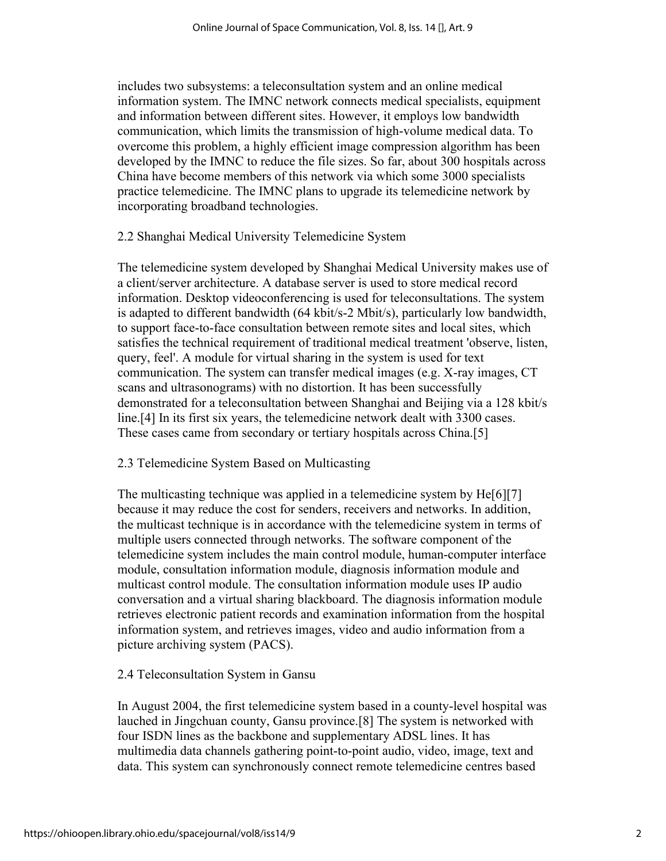includes two subsystems: a teleconsultation system and an online medical information system. The IMNC network connects medical specialists, equipment and information between different sites. However, it employs low bandwidth communication, which limits the transmission of high-volume medical data. To overcome this problem, a highly efficient image compression algorithm has been developed by the IMNC to reduce the file sizes. So far, about 300 hospitals across China have become members of this network via which some 3000 specialists practice telemedicine. The IMNC plans to upgrade its telemedicine network by incorporating broadband technologies.

## 2.2 Shanghai Medical University Telemedicine System

The telemedicine system developed by Shanghai Medical University makes use of a client/server architecture. A database server is used to store medical record information. Desktop videoconferencing is used for teleconsultations. The system is adapted to different bandwidth (64 kbit/s-2 Mbit/s), particularly low bandwidth, to support face-to-face consultation between remote sites and local sites, which satisfies the technical requirement of traditional medical treatment 'observe, listen, query, feel'. A module for virtual sharing in the system is used for text communication. The system can transfer medical images (e.g. X-ray images, CT scans and ultrasonograms) with no distortion. It has been successfully demonstrated for a teleconsultation between Shanghai and Beijing via a 128 kbit/s line.[4] In its first six years, the telemedicine network dealt with 3300 cases. These cases came from secondary or tertiary hospitals across China.[5]

#### 2.3 Telemedicine System Based on Multicasting

The multicasting technique was applied in a telemedicine system by He[6][7] because it may reduce the cost for senders, receivers and networks. In addition, the multicast technique is in accordance with the telemedicine system in terms of multiple users connected through networks. The software component of the telemedicine system includes the main control module, human-computer interface module, consultation information module, diagnosis information module and multicast control module. The consultation information module uses IP audio conversation and a virtual sharing blackboard. The diagnosis information module retrieves electronic patient records and examination information from the hospital information system, and retrieves images, video and audio information from a picture archiving system (PACS).

#### 2.4 Teleconsultation System in Gansu

In August 2004, the first telemedicine system based in a county-level hospital was lauched in Jingchuan county, Gansu province.[8] The system is networked with four ISDN lines as the backbone and supplementary ADSL lines. It has multimedia data channels gathering point-to-point audio, video, image, text and data. This system can synchronously connect remote telemedicine centres based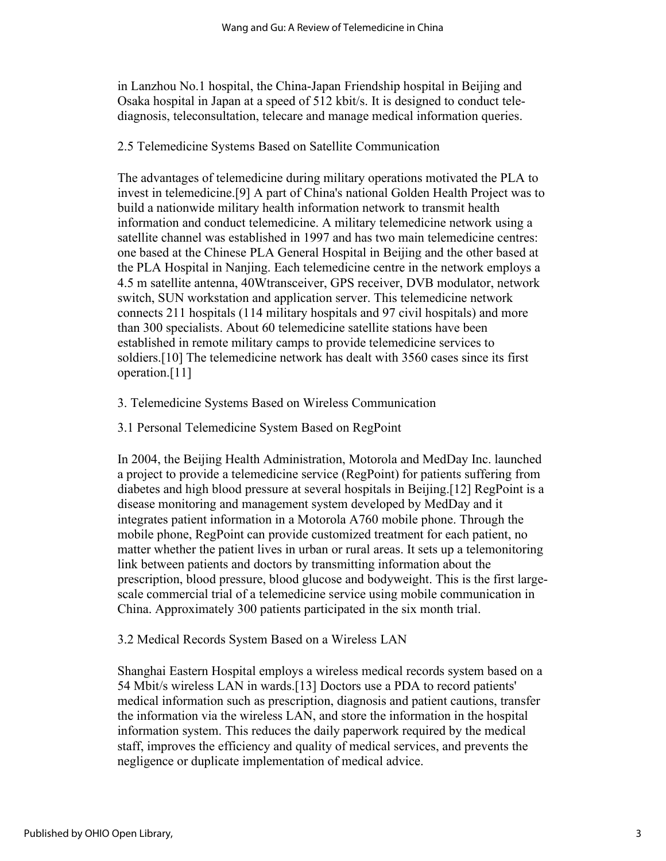in Lanzhou No.1 hospital, the China-Japan Friendship hospital in Beijing and Osaka hospital in Japan at a speed of 512 kbit/s. It is designed to conduct telediagnosis, teleconsultation, telecare and manage medical information queries.

## 2.5 Telemedicine Systems Based on Satellite Communication

The advantages of telemedicine during military operations motivated the PLA to invest in telemedicine.[9] A part of China's national Golden Health Project was to build a nationwide military health information network to transmit health information and conduct telemedicine. A military telemedicine network using a satellite channel was established in 1997 and has two main telemedicine centres: one based at the Chinese PLA General Hospital in Beijing and the other based at the PLA Hospital in Nanjing. Each telemedicine centre in the network employs a 4.5 m satellite antenna, 40Wtransceiver, GPS receiver, DVB modulator, network switch, SUN workstation and application server. This telemedicine network connects 211 hospitals (114 military hospitals and 97 civil hospitals) and more than 300 specialists. About 60 telemedicine satellite stations have been established in remote military camps to provide telemedicine services to soldiers.[10] The telemedicine network has dealt with 3560 cases since its first operation.[11]

3. Telemedicine Systems Based on Wireless Communication

3.1 Personal Telemedicine System Based on RegPoint

In 2004, the Beijing Health Administration, Motorola and MedDay Inc. launched a project to provide a telemedicine service (RegPoint) for patients suffering from diabetes and high blood pressure at several hospitals in Beijing.[12] RegPoint is a disease monitoring and management system developed by MedDay and it integrates patient information in a Motorola A760 mobile phone. Through the mobile phone, RegPoint can provide customized treatment for each patient, no matter whether the patient lives in urban or rural areas. It sets up a telemonitoring link between patients and doctors by transmitting information about the prescription, blood pressure, blood glucose and bodyweight. This is the first largescale commercial trial of a telemedicine service using mobile communication in China. Approximately 300 patients participated in the six month trial.

3.2 Medical Records System Based on a Wireless LAN

Shanghai Eastern Hospital employs a wireless medical records system based on a 54 Mbit/s wireless LAN in wards.[13] Doctors use a PDA to record patients' medical information such as prescription, diagnosis and patient cautions, transfer the information via the wireless LAN, and store the information in the hospital information system. This reduces the daily paperwork required by the medical staff, improves the efficiency and quality of medical services, and prevents the negligence or duplicate implementation of medical advice.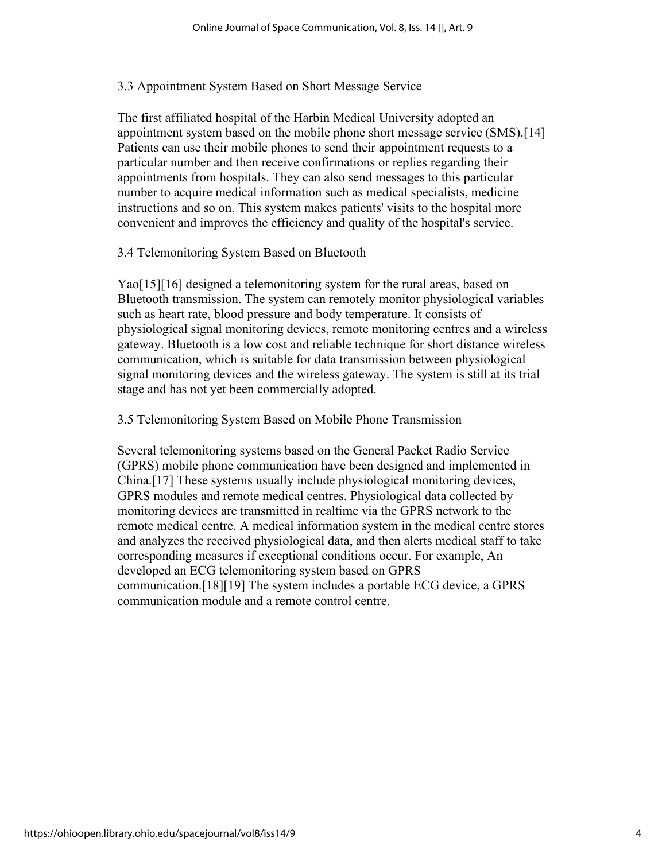## 3.3 Appointment System Based on Short Message Service

The first affiliated hospital of the Harbin Medical University adopted an appointment system based on the mobile phone short message service (SMS).[14] Patients can use their mobile phones to send their appointment requests to a particular number and then receive confirmations or replies regarding their appointments from hospitals. They can also send messages to this particular number to acquire medical information such as medical specialists, medicine instructions and so on. This system makes patients' visits to the hospital more convenient and improves the efficiency and quality of the hospital's service.

## 3.4 Telemonitoring System Based on Bluetooth

Yao[15][16] designed a telemonitoring system for the rural areas, based on Bluetooth transmission. The system can remotely monitor physiological variables such as heart rate, blood pressure and body temperature. It consists of physiological signal monitoring devices, remote monitoring centres and a wireless gateway. Bluetooth is a low cost and reliable technique for short distance wireless communication, which is suitable for data transmission between physiological signal monitoring devices and the wireless gateway. The system is still at its trial stage and has not yet been commercially adopted.

#### 3.5 Telemonitoring System Based on Mobile Phone Transmission

Several telemonitoring systems based on the General Packet Radio Service (GPRS) mobile phone communication have been designed and implemented in China.[17] These systems usually include physiological monitoring devices, GPRS modules and remote medical centres. Physiological data collected by monitoring devices are transmitted in realtime via the GPRS network to the remote medical centre. A medical information system in the medical centre stores and analyzes the received physiological data, and then alerts medical staff to take corresponding measures if exceptional conditions occur. For example, An developed an ECG telemonitoring system based on GPRS communication.[18][19] The system includes a portable ECG device, a GPRS communication module and a remote control centre.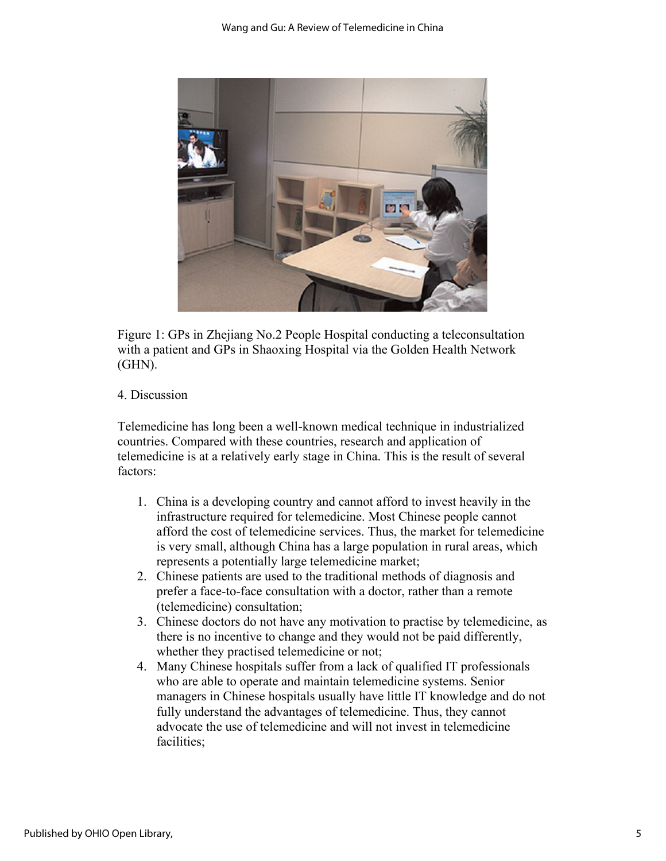

Figure 1: GPs in Zhejiang No.2 People Hospital conducting a teleconsultation with a patient and GPs in Shaoxing Hospital via the Golden Health Network (GHN).

## 4. Discussion

Telemedicine has long been a well-known medical technique in industrialized countries. Compared with these countries, research and application of telemedicine is at a relatively early stage in China. This is the result of several factors:

- 1. China is a developing country and cannot afford to invest heavily in the infrastructure required for telemedicine. Most Chinese people cannot afford the cost of telemedicine services. Thus, the market for telemedicine is very small, although China has a large population in rural areas, which represents a potentially large telemedicine market;
- 2. Chinese patients are used to the traditional methods of diagnosis and prefer a face-to-face consultation with a doctor, rather than a remote (telemedicine) consultation;
- 3. Chinese doctors do not have any motivation to practise by telemedicine, as there is no incentive to change and they would not be paid differently, whether they practised telemedicine or not;
- 4. Many Chinese hospitals suffer from a lack of qualified IT professionals who are able to operate and maintain telemedicine systems. Senior managers in Chinese hospitals usually have little IT knowledge and do not fully understand the advantages of telemedicine. Thus, they cannot advocate the use of telemedicine and will not invest in telemedicine facilities;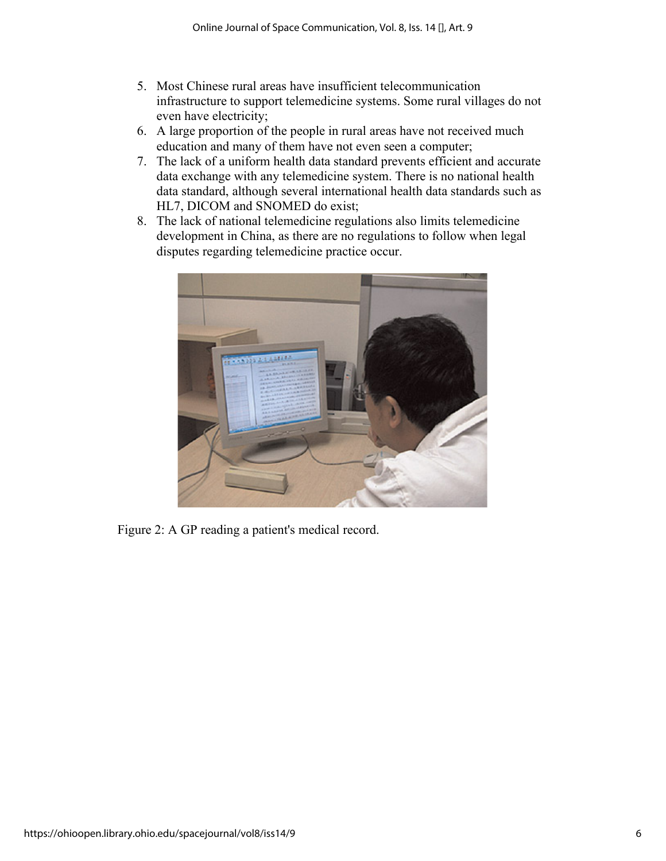- 5. Most Chinese rural areas have insufficient telecommunication infrastructure to support telemedicine systems. Some rural villages do not even have electricity;
- 6. A large proportion of the people in rural areas have not received much education and many of them have not even seen a computer;
- 7. The lack of a uniform health data standard prevents efficient and accurate data exchange with any telemedicine system. There is no national health data standard, although several international health data standards such as HL7, DICOM and SNOMED do exist;
- 8. The lack of national telemedicine regulations also limits telemedicine development in China, as there are no regulations to follow when legal disputes regarding telemedicine practice occur.



Figure 2: A GP reading a patient's medical record.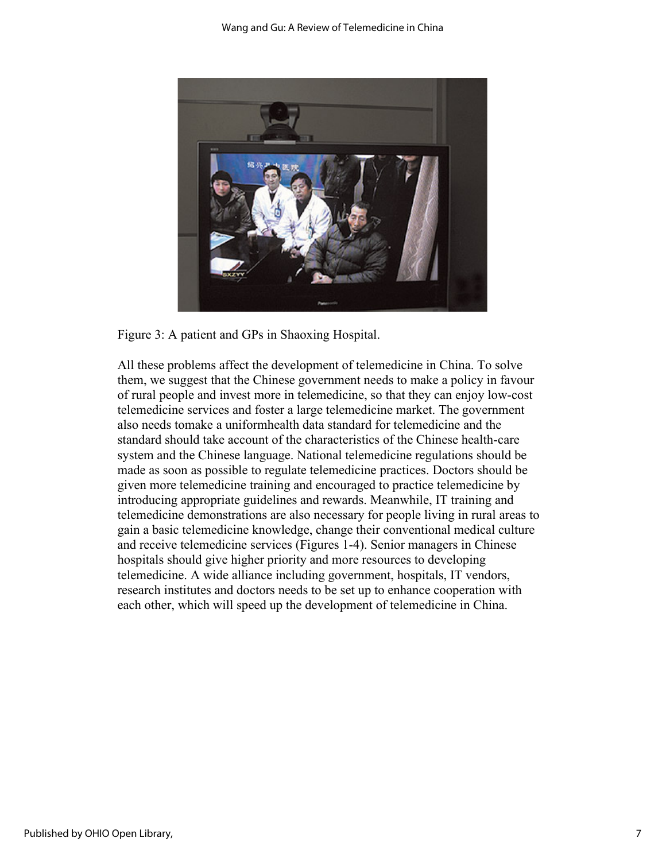

Figure 3: A patient and GPs in Shaoxing Hospital.

All these problems affect the development of telemedicine in China. To solve them, we suggest that the Chinese government needs to make a policy in favour of rural people and invest more in telemedicine, so that they can enjoy low-cost telemedicine services and foster a large telemedicine market. The government also needs tomake a uniformhealth data standard for telemedicine and the standard should take account of the characteristics of the Chinese health-care system and the Chinese language. National telemedicine regulations should be made as soon as possible to regulate telemedicine practices. Doctors should be given more telemedicine training and encouraged to practice telemedicine by introducing appropriate guidelines and rewards. Meanwhile, IT training and telemedicine demonstrations are also necessary for people living in rural areas to gain a basic telemedicine knowledge, change their conventional medical culture and receive telemedicine services (Figures 1-4). Senior managers in Chinese hospitals should give higher priority and more resources to developing telemedicine. A wide alliance including government, hospitals, IT vendors, research institutes and doctors needs to be set up to enhance cooperation with each other, which will speed up the development of telemedicine in China.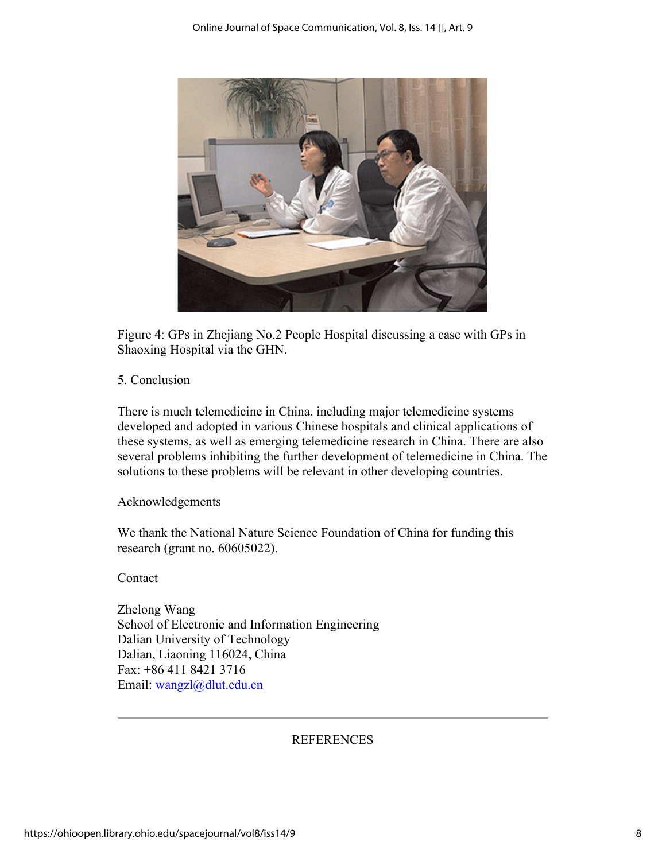

Figure 4: GPs in Zhejiang No.2 People Hospital discussing a case with GPs in Shaoxing Hospital via the GHN.

## 5. Conclusion

There is much telemedicine in China, including major telemedicine systems developed and adopted in various Chinese hospitals and clinical applications of these systems, as well as emerging telemedicine research in China. There are also several problems inhibiting the further development of telemedicine in China. The solutions to these problems will be relevant in other developing countries.

Acknowledgements

We thank the National Nature Science Foundation of China for funding this research (grant no. 60605022).

Contact

Zhelong Wang School of Electronic and Information Engineering Dalian University of Technology Dalian, Liaoning 116024, China Fax: +86 411 8421 3716 Email: wangzl@dlut.edu.cn

## REFERENCES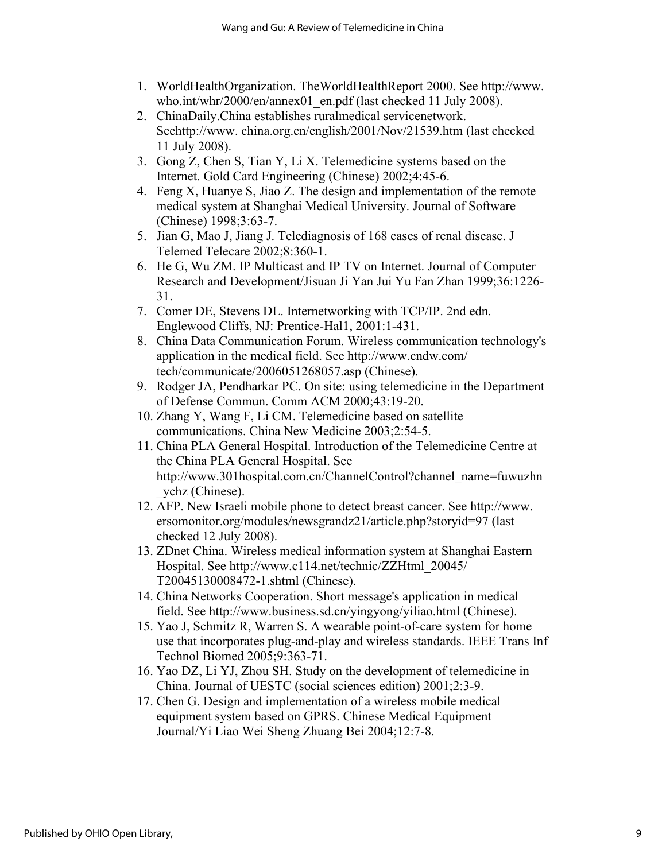- 1. WorldHealthOrganization. TheWorldHealthReport 2000. See http://www. who.int/whr/2000/en/annex01\_en.pdf (last checked 11 July 2008).
- 2. ChinaDaily.China establishes ruralmedical servicenetwork. Seehttp://www. china.org.cn/english/2001/Nov/21539.htm (last checked 11 July 2008).
- 3. Gong Z, Chen S, Tian Y, Li X. Telemedicine systems based on the Internet. Gold Card Engineering (Chinese) 2002;4:45-6.
- 4. Feng X, Huanye S, Jiao Z. The design and implementation of the remote medical system at Shanghai Medical University. Journal of Software (Chinese) 1998;3:63-7.
- 5. Jian G, Mao J, Jiang J. Telediagnosis of 168 cases of renal disease. J Telemed Telecare 2002;8:360-1.
- 6. He G, Wu ZM. IP Multicast and IP TV on Internet. Journal of Computer Research and Development/Jisuan Ji Yan Jui Yu Fan Zhan 1999;36:1226- 31.
- 7. Comer DE, Stevens DL. Internetworking with TCP/IP. 2nd edn. Englewood Cliffs, NJ: Prentice-Hal1, 2001:1-431.
- 8. China Data Communication Forum. Wireless communication technology's application in the medical field. See http://www.cndw.com/ tech/communicate/2006051268057.asp (Chinese).
- 9. Rodger JA, Pendharkar PC. On site: using telemedicine in the Department of Defense Commun. Comm ACM 2000;43:19-20.
- 10. Zhang Y, Wang F, Li CM. Telemedicine based on satellite communications. China New Medicine 2003;2:54-5.
- 11. China PLA General Hospital. Introduction of the Telemedicine Centre at the China PLA General Hospital. See http://www.301hospital.com.cn/ChannelControl?channel\_name=fuwuzhn \_ychz (Chinese).
- 12. AFP. New Israeli mobile phone to detect breast cancer. See http://www. ersomonitor.org/modules/newsgrandz21/article.php?storyid=97 (last checked 12 July 2008).
- 13. ZDnet China. Wireless medical information system at Shanghai Eastern Hospital. See http://www.c114.net/technic/ZZHtml\_20045/ T20045130008472-1.shtml (Chinese).
- 14. China Networks Cooperation. Short message's application in medical field. See http://www.business.sd.cn/yingyong/yiliao.html (Chinese).
- 15. Yao J, Schmitz R, Warren S. A wearable point-of-care system for home use that incorporates plug-and-play and wireless standards. IEEE Trans Inf Technol Biomed 2005;9:363-71.
- 16. Yao DZ, Li YJ, Zhou SH. Study on the development of telemedicine in China. Journal of UESTC (social sciences edition) 2001;2:3-9.
- 17. Chen G. Design and implementation of a wireless mobile medical equipment system based on GPRS. Chinese Medical Equipment Journal/Yi Liao Wei Sheng Zhuang Bei 2004;12:7-8.